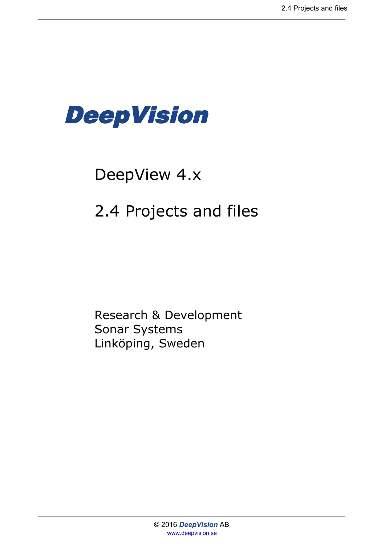

# DeepView 4.x

## 2.4 Projects and files

Research & Development Sonar Systems Linköping, Sweden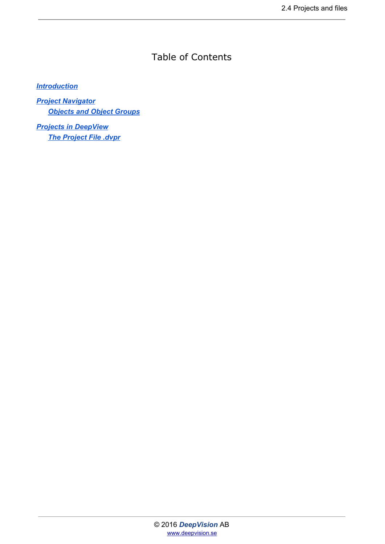### Table of Contents

#### *[Introduction](#page-2-0)*

*[Project Navigator](#page-3-0) [Objects and Object Groups](#page-4-0)*

*[Projects in DeepView](#page-6-0) [The Project File .dvpr](#page-6-1)*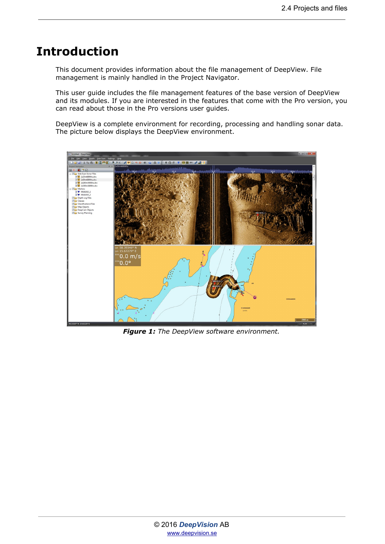### <span id="page-2-0"></span>**Introduction**

This document provides information about the file management of DeepView. File management is mainly handled in the Project Navigator.

This user guide includes the file management features of the base version of DeepView and its modules. If you are interested in the features that come with the Pro version, you can read about those in the Pro versions user guides.

DeepView is a complete environment for recording, processing and handling sonar data. The picture below displays the DeepView environment.



*Figure 1: The DeepView software environment.*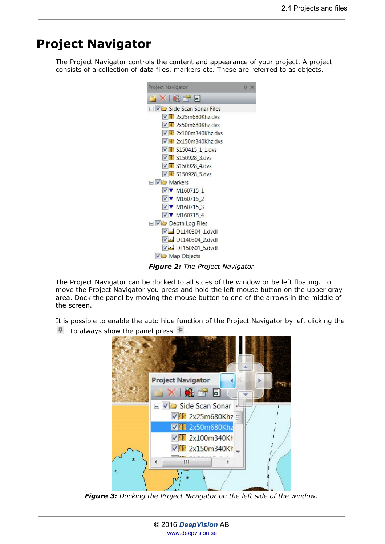## <span id="page-3-0"></span>**Project Navigator**

The Project Navigator controls the content and appearance of your project. A project consists of a collection of data files, markers etc. These are referred to as objects.



*Figure 2: The Project Navigator*

The Project Navigator can be docked to all sides of the window or be left floating. To move the Project Navigator you press and hold the left mouse button on the upper gray area. Dock the panel by moving the mouse button to one of the arrows in the middle of the screen.

It is possible to enable the auto hide function of the Project Navigator by left clicking the  $\frac{1}{2}$ . To always show the panel press  $\frac{1}{2}$ 



*Figure 3: Docking the Project Navigator on the left side of the window.*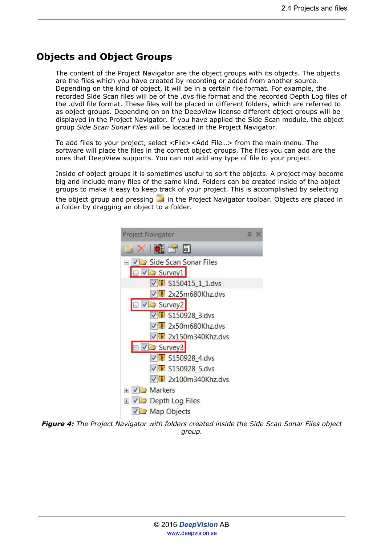#### <span id="page-4-0"></span>**Objects and Object Groups**

The content of the Project Navigator are the object groups with its objects. The objects are the files which you have created by recording or added from another source. Depending on the kind of object, it will be in a certain file format. For example, the recorded Side Scan files will be of the .dvs file format and the recorded Depth Log files of the .dvdl file format. These files will be placed in different folders, which are referred to as object groups. Depending on on the DeepView license different object groups will be displayed in the Project Navigator. If you have applied the Side Scan module, the object group *Side Scan Sonar Files* will be located in the Project Navigator.

To add files to your project, select <File><Add File…> from the main menu. The software will place the files in the correct object groups. The files you can add are the ones that DeepView supports. You can not add any type of file to your project.

Inside of object groups it is sometimes useful to sort the objects. A project may become big and include many files of the same kind. Folders can be created inside of the object groups to make it easy to keep track of your project. This is accomplished by selecting the object group and pressing  $\Box$  in the Project Navigator toolbar. Objects are placed in

a folder by dragging an object to a folder.



 *Figure 4: The Project Navigator with folders created inside the Side Scan Sonar Files object group.*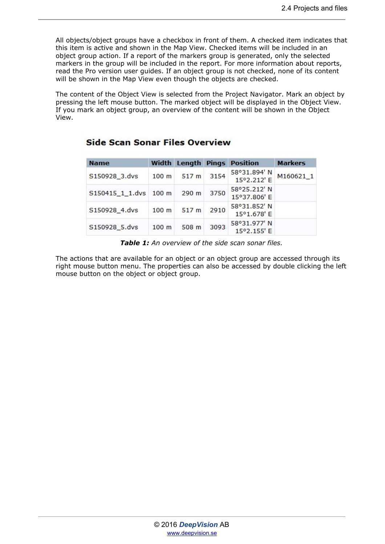All objects/object groups have a checkbox in front of them. A checked item indicates that this item is active and shown in the Map View. Checked items will be included in an object group action. If a report of the markers group is generated, only the selected markers in the group will be included in the report. For more information about reports, read the Pro version user guides. If an object group is not checked, none of its content will be shown in the Map View even though the objects are checked.

The content of the Object View is selected from the Project Navigator. Mark an object by pressing the left mouse button. The marked object will be displayed in the Object View. If you mark an object group, an overview of the content will be shown in the Object View.

| <b>Name</b>           |                  |                  |      | <b>Width Length Pings Position</b> | <b>Markers</b> |
|-----------------------|------------------|------------------|------|------------------------------------|----------------|
| S150928_3.dvs         | 100 <sub>m</sub> | 517 <sub>m</sub> | 3154 | 58°31.894' N<br>15°2.212' E        | M160621 1      |
| S150415_1_1.dvs 100 m |                  | $290$ m          | 3750 | 58°25.212' N<br>15°37.806' E       |                |
| S150928 4.dvs         | 100 <sub>m</sub> | 517 <sub>m</sub> | 2910 | 58°31.852' N<br>15°1.678' E        |                |
| S150928 5.dvs         | 100 <sub>m</sub> | 508 m            | 3093 | 58°31.977' N<br>15°2.155' E        |                |

**Side Scan Sonar Files Overview** 

*Table 1: An overview of the side scan sonar files.*

The actions that are available for an object or an object group are accessed through its right mouse button menu. The properties can also be accessed by double clicking the left mouse button on the object or object group.